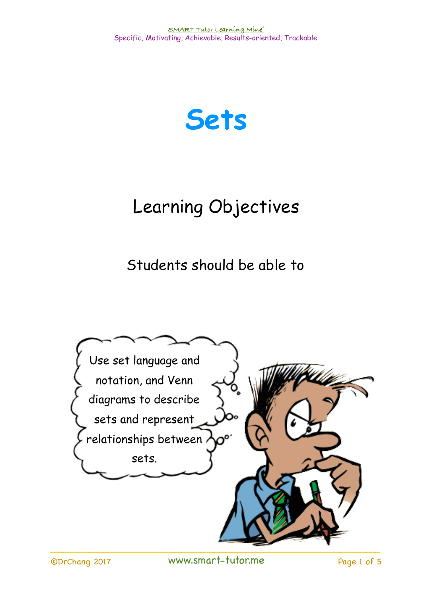

## Learning Objectives

Students should be able to

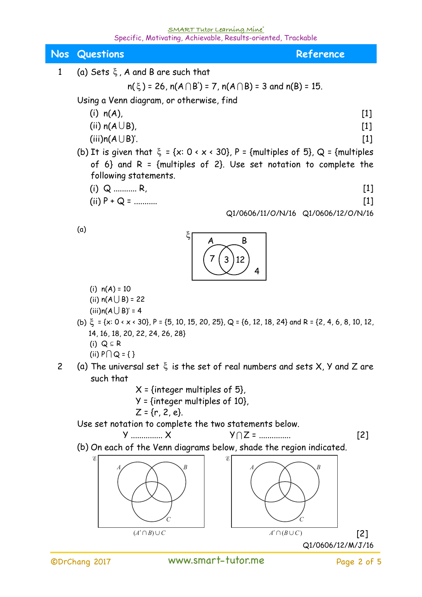## **SMART Tutor Learning Mine®**  Specific, Motivating, Achievable, Results-oriented, Trackable

| Nos            | <b>Questions</b><br>Reference                                                                                                                                                                                                                                                                                                                                                                                                                                                                                                                                                                                                                                                          |
|----------------|----------------------------------------------------------------------------------------------------------------------------------------------------------------------------------------------------------------------------------------------------------------------------------------------------------------------------------------------------------------------------------------------------------------------------------------------------------------------------------------------------------------------------------------------------------------------------------------------------------------------------------------------------------------------------------------|
| $\mathbf{1}$   | (a) Sets $\xi$ , A and B are such that                                                                                                                                                                                                                                                                                                                                                                                                                                                                                                                                                                                                                                                 |
|                | $n(\xi)$ = 26, $n(A \cap B')$ = 7, $n(A \cap B)$ = 3 and $n(B)$ = 15.                                                                                                                                                                                                                                                                                                                                                                                                                                                                                                                                                                                                                  |
|                | Using a Venn diagram, or otherwise, find                                                                                                                                                                                                                                                                                                                                                                                                                                                                                                                                                                                                                                               |
|                | $(i)$ n(A),<br>$[1]$                                                                                                                                                                                                                                                                                                                                                                                                                                                                                                                                                                                                                                                                   |
|                | (ii) $n(A \cup B)$ ,<br>$[1]$                                                                                                                                                                                                                                                                                                                                                                                                                                                                                                                                                                                                                                                          |
|                | $(iii) n(A \cup B)'$ .<br>$[1]$<br>(b) It is given that $\xi = \{x: 0 \times x \times 30\}$ , P = {multiples of 5}, Q = {multiples                                                                                                                                                                                                                                                                                                                                                                                                                                                                                                                                                     |
|                | of 6} and R = {multiples of 2}. Use set notation to complete the<br>following statements.                                                                                                                                                                                                                                                                                                                                                                                                                                                                                                                                                                                              |
|                | $(i)$ Q  R,<br>$[1]$                                                                                                                                                                                                                                                                                                                                                                                                                                                                                                                                                                                                                                                                   |
|                | (ii) $P + Q =$<br>$[1]$                                                                                                                                                                                                                                                                                                                                                                                                                                                                                                                                                                                                                                                                |
|                | Q1/0606/11/O/N/16 Q1/0606/12/O/N/16                                                                                                                                                                                                                                                                                                                                                                                                                                                                                                                                                                                                                                                    |
|                | (a)<br>Β<br>12                                                                                                                                                                                                                                                                                                                                                                                                                                                                                                                                                                                                                                                                         |
| $\overline{c}$ | (i) $n(A) = 10$<br>(ii) $n(A \cup B) = 22$<br>$(iii) n(A \cup B)' = 4$<br>(b) $\xi = \{x: 0 \times x \times 30\}$ , P = {5, 10, 15, 20, 25}, Q = {6, 12, 18, 24} and R = {2, 4, 6, 8, 10, 12,<br>14, 16, 18, 20, 22, 24, 26, 28}<br>(i) $Q \subseteq R$<br>(ii) $P \cap Q = \{\}$<br>(a) The universal set $\xi$ is the set of real numbers and sets $X$ , $Y$ and $Z$ are<br>such that<br>$\pi$ X <sub>2</sub> = {integer multiples of 5},<br>$Y = \{integer \text{ multiples of } 10\},\$<br>$Z = \{r, 2, e\}.$<br>Use set notation to complete the two statements below.<br>$Y$ $X$<br>$Y \cap Z =$<br>$[2]$<br>(b) On each of the Venn diagrams below, shade the region indicated. |
|                | В                                                                                                                                                                                                                                                                                                                                                                                                                                                                                                                                                                                                                                                                                      |
|                | $(A' \cap B) \cup C$<br>$A' \cap (B \cup C)$<br>[2]<br>Q1/0606/12/M/J/16                                                                                                                                                                                                                                                                                                                                                                                                                                                                                                                                                                                                               |
|                |                                                                                                                                                                                                                                                                                                                                                                                                                                                                                                                                                                                                                                                                                        |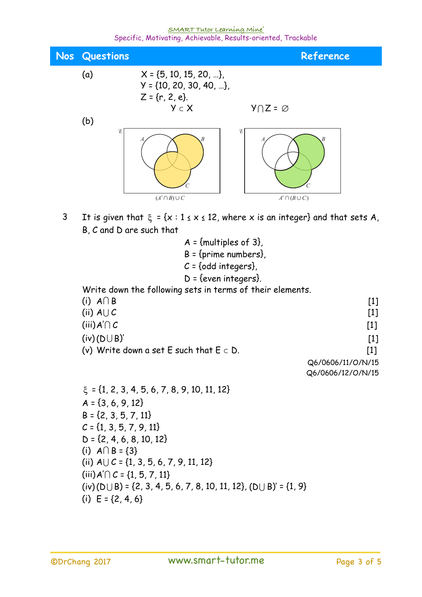## **SMART Tutor Learning Mine®**  <u>SMART Tutor Cearning Mine و Shecific, Motivating, Achievable, Results-oriented, Trackable</u>



3 It is given that  $\xi = {x : 1 \le x \le 12}$ , where x is an integer} and that sets A, B, C and D are such that

 $A = \{$ multiples of 3 $\}$ ,  $B = \{prime$ , numbers $\}$ ,  $C = \{odd$  integers $\}$ , D = {even integers}. Write down the following sets in terms of their elements. (i)  $A \cap B$  [1] (ii)  $A \cup C$  [1] (iii)  $A' \cap C$  [1]  $(iv)(D \cup B)'$  [1] (v) Write down a set E such that  $E \subset D$ . [1] Q6/0606/11/O/N/15 Q6/0606/12/O/N/15

 $\xi = \{1, 2, 3, 4, 5, 6, 7, 8, 9, 10, 11, 12\}$  $A = \{3, 6, 9, 12\}$  $B = \{2, 3, 5, 7, 11\}$  $C = \{1, 3, 5, 7, 9, 11\}$  $D = \{2, 4, 6, 8, 10, 12\}$ (i)  $A \cap B = \{3\}$ (ii)  $A \cup C = \{1, 3, 5, 6, 7, 9, 11, 12\}$  $(iii)$  A' $\cap$  C = {1, 5, 7, 11}  $(iv)(D \cup B) = \{2, 3, 4, 5, 6, 7, 8, 10, 11, 12\}, (D \cup B)' = \{1, 9\}$ (i)  $E = \{2, 4, 6\}$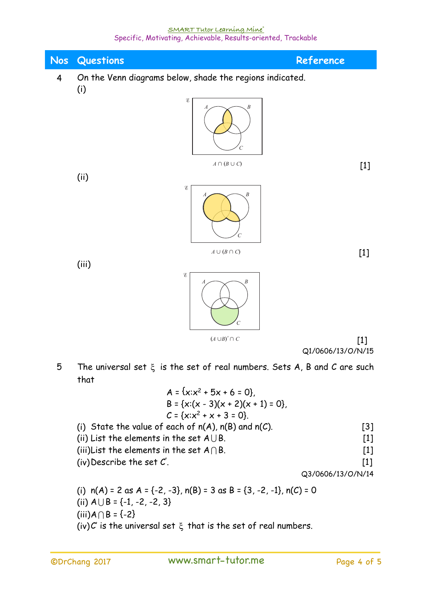| <b>Nos</b>     | Questions<br>Reference                                                                                                                                                                                                                                 |  |  |
|----------------|--------------------------------------------------------------------------------------------------------------------------------------------------------------------------------------------------------------------------------------------------------|--|--|
| $\overline{4}$ | On the Venn diagrams below, shade the regions indicated.                                                                                                                                                                                               |  |  |
|                | (i)<br>E                                                                                                                                                                                                                                               |  |  |
|                | $A \cap (B \cup C)$<br>$[1]$                                                                                                                                                                                                                           |  |  |
|                | (ii)<br>E                                                                                                                                                                                                                                              |  |  |
|                | $A \cup (B \cap C)$<br>$[1]$<br>(iii)                                                                                                                                                                                                                  |  |  |
|                | E                                                                                                                                                                                                                                                      |  |  |
|                | $(A \cup B)' \cap C$<br>$[1]$                                                                                                                                                                                                                          |  |  |
| 5              | Q1/0606/13/O/N/15<br>The universal set $\xi$ is the set of real numbers. Sets A, B and C are such<br>that                                                                                                                                              |  |  |
|                | $A = \{x: x^2 + 5x + 6 = 0\}$<br>B = {x:(x - 3)(x + 2)(x + 1) = 0},<br>$C = \{x: x^2 + x + 3 = 0\}.$                                                                                                                                                   |  |  |
|                | (i) State the value of each of $n(A)$ , $n(B)$ and $n(C)$ .<br>[3]<br>(ii) List the elements in the set $A \cup B$ .<br>$[1]$<br>(iii)List the elements in the set $A \cap B$ .<br>$[1]$<br>(iv) Describe the set $C'$ .<br>$[1]$<br>Q3/0606/13/O/N/14 |  |  |
|                | (i) $n(A) = 2$ as $A = \{-2, -3\}$ , $n(B) = 3$ as $B = \{3, -2, -1\}$ , $n(C) = 0$<br>(ii) $A \cup B = \{-1, -2, -2, 3\}$                                                                                                                             |  |  |